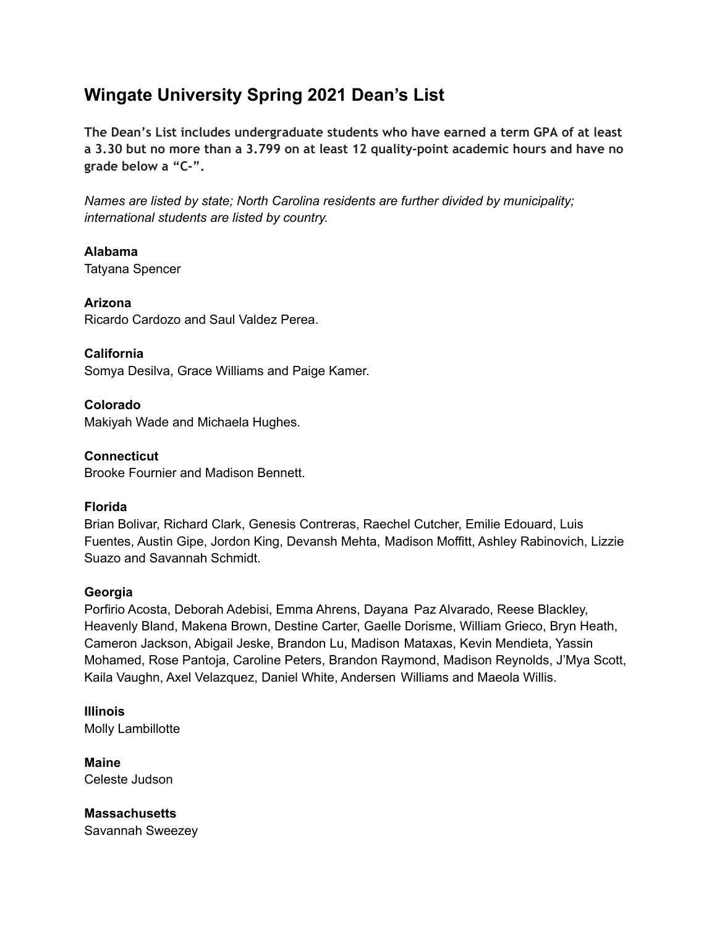# **Wingate University Spring 2021 Dean's List**

**The Dean's List includes undergraduate students who have earned a term GPA of at least a 3.30 but no more than a 3.799 on at least 12 quality-point academic hours and have no grade below a "C-".**

*Names are listed by state; North Carolina residents are further divided by municipality; international students are listed by country.*

**Alabama** Tatyana Spencer

**Arizona** Ricardo Cardozo and Saul Valdez Perea.

**California** Somya Desilva, Grace Williams and Paige Kamer.

**Colorado** Makiyah Wade and Michaela Hughes.

**Connecticut** Brooke Fournier and Madison Bennett.

## **Florida**

Brian Bolivar, Richard Clark, Genesis Contreras, Raechel Cutcher, Emilie Edouard, Luis Fuentes, Austin Gipe, Jordon King, Devansh Mehta, Madison Moffitt, Ashley Rabinovich, Lizzie Suazo and Savannah Schmidt.

## **Georgia**

Porfirio Acosta, Deborah Adebisi, Emma Ahrens, Dayana Paz Alvarado, Reese Blackley, Heavenly Bland, Makena Brown, Destine Carter, Gaelle Dorisme, William Grieco, Bryn Heath, Cameron Jackson, Abigail Jeske, Brandon Lu, Madison Mataxas, Kevin Mendieta, Yassin Mohamed, Rose Pantoja, Caroline Peters, Brandon Raymond, Madison Reynolds, J'Mya Scott, Kaila Vaughn, Axel Velazquez, Daniel White, Andersen Williams and Maeola Willis.

**Illinois** Molly Lambillotte

**Maine** Celeste Judson

**Massachusetts** Savannah Sweezey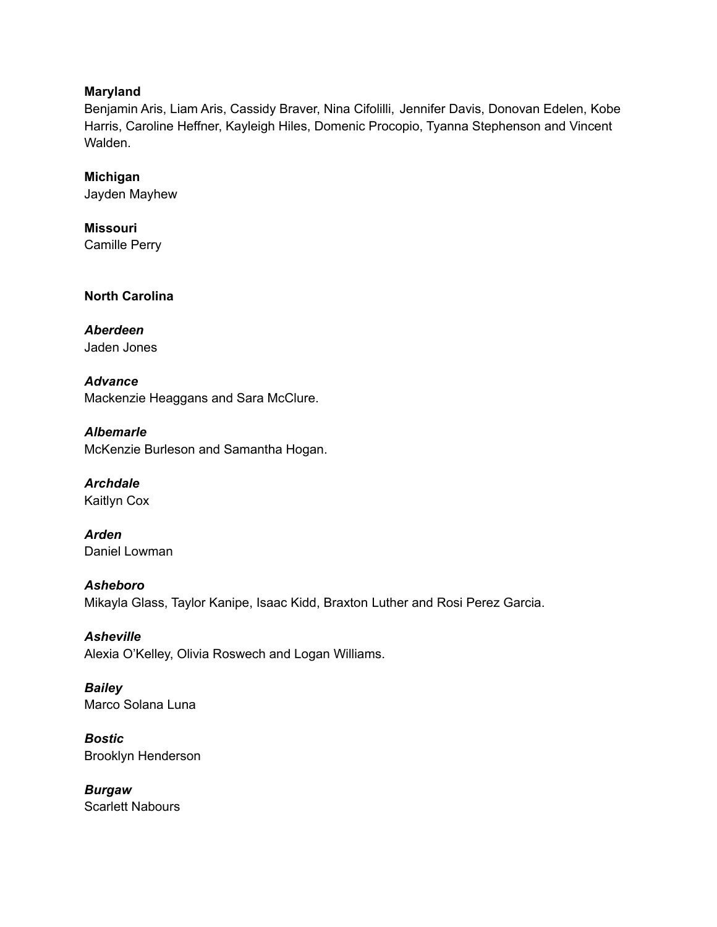## **Maryland**

Benjamin Aris, Liam Aris, Cassidy Braver, Nina Cifolilli, Jennifer Davis, Donovan Edelen, Kobe Harris, Caroline Heffner, Kayleigh Hiles, Domenic Procopio, Tyanna Stephenson and Vincent Walden.

# **Michigan**

Jayden Mayhew

**Missouri** Camille Perry

**North Carolina**

## *Aberdeen* Jaden Jones

*Advance* Mackenzie Heaggans and Sara McClure.

*Albemarle* McKenzie Burleson and Samantha Hogan.

*Archdale* Kaitlyn Cox

*Arden* Daniel Lowman

# *Asheboro*

Mikayla Glass, Taylor Kanipe, Isaac Kidd, Braxton Luther and Rosi Perez Garcia.

# *Asheville*

Alexia O'Kelley, Olivia Roswech and Logan Williams.

## *Bailey* Marco Solana Luna

*Bostic* Brooklyn Henderson

*Burgaw* Scarlett Nabours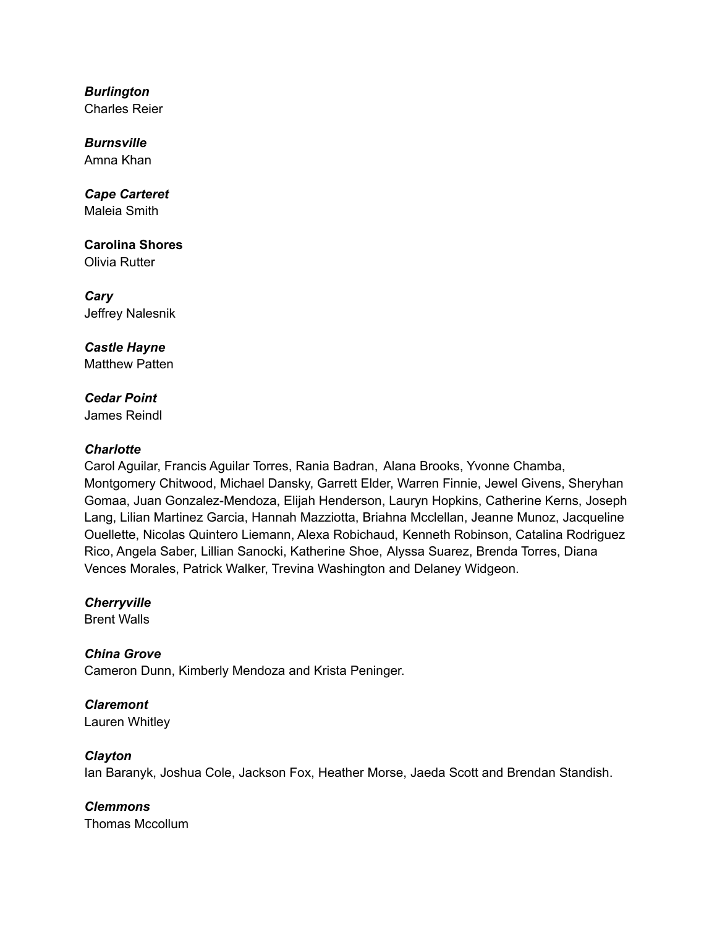*Burlington* Charles Reier

*Burnsville* Amna Khan

*Cape Carteret* Maleia Smith

**Carolina Shores** Olivia Rutter

*Cary* Jeffrey Nalesnik

*Castle Hayne* Matthew Patten

*Cedar Point* James Reindl

## *Charlotte*

Carol Aguilar, Francis Aguilar Torres, Rania Badran, Alana Brooks, Yvonne Chamba, Montgomery Chitwood, Michael Dansky, Garrett Elder, Warren Finnie, Jewel Givens, Sheryhan Gomaa, Juan Gonzalez-Mendoza, Elijah Henderson, Lauryn Hopkins, Catherine Kerns, Joseph Lang, Lilian Martinez Garcia, Hannah Mazziotta, Briahna Mcclellan, Jeanne Munoz, Jacqueline Ouellette, Nicolas Quintero Liemann, Alexa Robichaud, Kenneth Robinson, Catalina Rodriguez Rico, Angela Saber, Lillian Sanocki, Katherine Shoe, Alyssa Suarez, Brenda Torres, Diana Vences Morales, Patrick Walker, Trevina Washington and Delaney Widgeon.

*Cherryville* Brent Walls

*China Grove*

Cameron Dunn, Kimberly Mendoza and Krista Peninger.

*Claremont* Lauren Whitley

*Clayton*

Ian Baranyk, Joshua Cole, Jackson Fox, Heather Morse, Jaeda Scott and Brendan Standish.

*Clemmons* Thomas Mccollum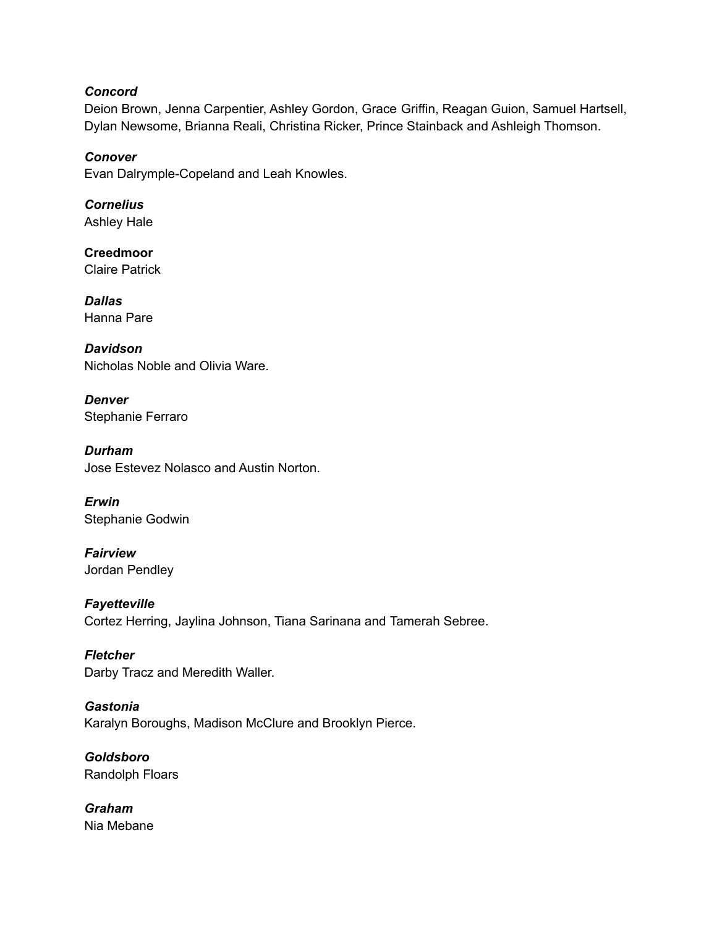## *Concord*

Deion Brown, Jenna Carpentier, Ashley Gordon, Grace Griffin, Reagan Guion, Samuel Hartsell, Dylan Newsome, Brianna Reali, Christina Ricker, Prince Stainback and Ashleigh Thomson.

*Conover* Evan Dalrymple-Copeland and Leah Knowles.

*Cornelius* Ashley Hale

**Creedmoor** Claire Patrick

*Dallas* Hanna Pare

*Davidson* Nicholas Noble and Olivia Ware.

*Denver* Stephanie Ferraro

*Durham* Jose Estevez Nolasco and Austin Norton.

*Erwin* Stephanie Godwin

*Fairview* Jordan Pendley

*Fayetteville* Cortez Herring, Jaylina Johnson, Tiana Sarinana and Tamerah Sebree.

*Fletcher* Darby Tracz and Meredith Waller.

*Gastonia* Karalyn Boroughs, Madison McClure and Brooklyn Pierce.

*Goldsboro* Randolph Floars

*Graham* Nia Mebane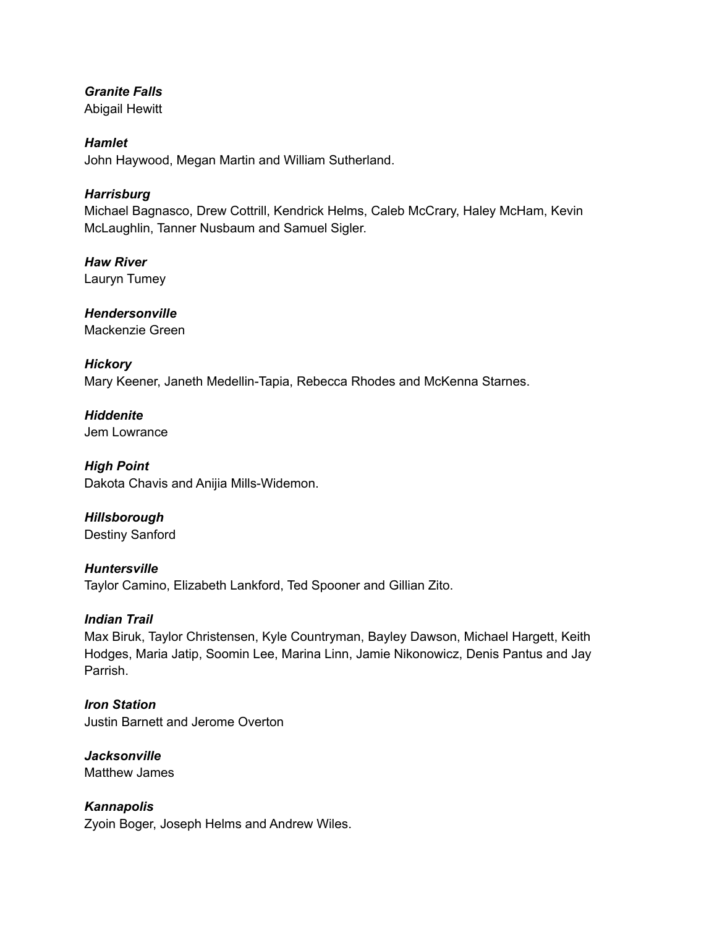# *Granite Falls*

Abigail Hewitt

# *Hamlet*

John Haywood, Megan Martin and William Sutherland.

# *Harrisburg*

Michael Bagnasco, Drew Cottrill, Kendrick Helms, Caleb McCrary, Haley McHam, Kevin McLaughlin, Tanner Nusbaum and Samuel Sigler.

*Haw River* Lauryn Tumey

*Hendersonville* Mackenzie Green

# *Hickory*

Mary Keener, Janeth Medellin-Tapia, Rebecca Rhodes and McKenna Starnes.

*Hiddenite* Jem Lowrance

*High Point* Dakota Chavis and Anijia Mills-Widemon.

# *Hillsborough*

Destiny Sanford

# *Huntersville*

Taylor Camino, Elizabeth Lankford, Ted Spooner and Gillian Zito.

# *Indian Trail*

Max Biruk, Taylor Christensen, Kyle Countryman, Bayley Dawson, Michael Hargett, Keith Hodges, Maria Jatip, Soomin Lee, Marina Linn, Jamie Nikonowicz, Denis Pantus and Jay Parrish.

*Iron Station* Justin Barnett and Jerome Overton

*Jacksonville* Matthew James

*Kannapolis* Zyoin Boger, Joseph Helms and Andrew Wiles.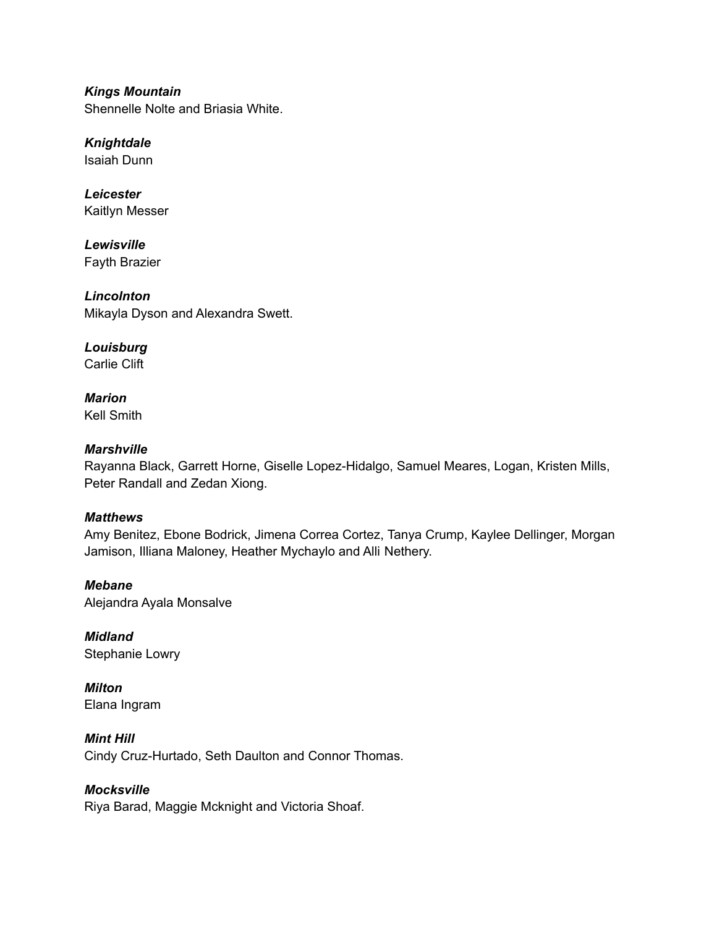*Kings Mountain* Shennelle Nolte and Briasia White.

*Knightdale* Isaiah Dunn

*Leicester* Kaitlyn Messer

*Lewisville* Fayth Brazier

*Lincolnton* Mikayla Dyson and Alexandra Swett.

*Louisburg* Carlie Clift

*Marion* Kell Smith

# *Marshville*

Rayanna Black, Garrett Horne, Giselle Lopez-Hidalgo, Samuel Meares, Logan, Kristen Mills, Peter Randall and Zedan Xiong.

# *Matthews*

Amy Benitez, Ebone Bodrick, Jimena Correa Cortez, Tanya Crump, Kaylee Dellinger, Morgan Jamison, Illiana Maloney, Heather Mychaylo and Alli Nethery.

*Mebane* Alejandra Ayala Monsalve

*Midland* Stephanie Lowry

*Milton* Elana Ingram

*Mint Hill* Cindy Cruz-Hurtado, Seth Daulton and Connor Thomas.

# *Mocksville*

Riya Barad, Maggie Mcknight and Victoria Shoaf.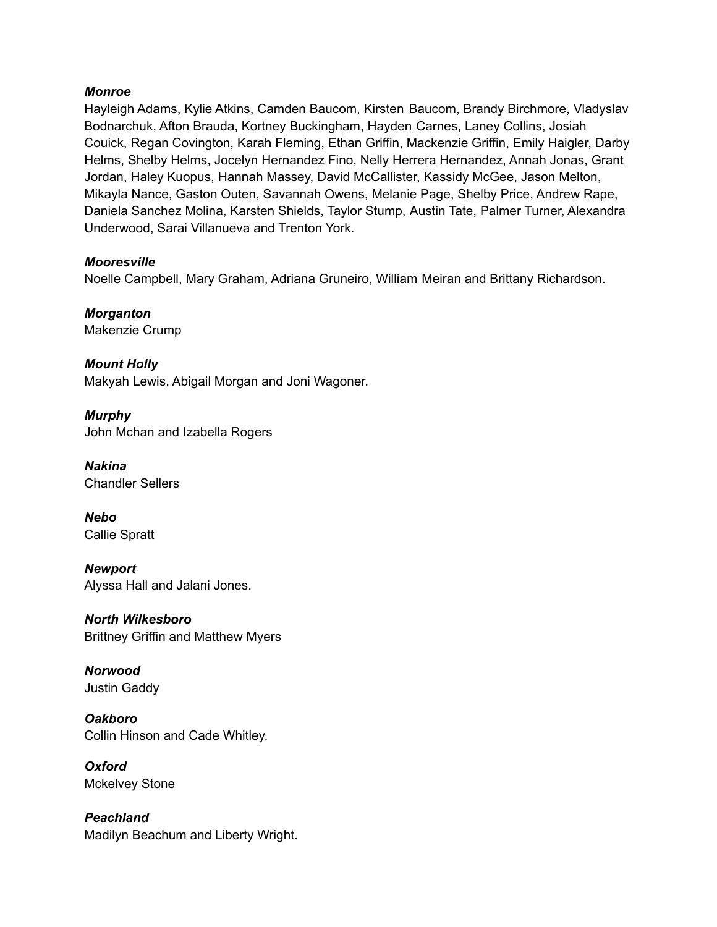#### *Monroe*

Hayleigh Adams, Kylie Atkins, Camden Baucom, Kirsten Baucom, Brandy Birchmore, Vladyslav Bodnarchuk, Afton Brauda, Kortney Buckingham, Hayden Carnes, Laney Collins, Josiah Couick, Regan Covington, Karah Fleming, Ethan Griffin, Mackenzie Griffin, Emily Haigler, Darby Helms, Shelby Helms, Jocelyn Hernandez Fino, Nelly Herrera Hernandez, Annah Jonas, Grant Jordan, Haley Kuopus, Hannah Massey, David McCallister, Kassidy McGee, Jason Melton, Mikayla Nance, Gaston Outen, Savannah Owens, Melanie Page, Shelby Price, Andrew Rape, Daniela Sanchez Molina, Karsten Shields, Taylor Stump, Austin Tate, Palmer Turner, Alexandra Underwood, Sarai Villanueva and Trenton York.

#### *Mooresville*

Noelle Campbell, Mary Graham, Adriana Gruneiro, William Meiran and Brittany Richardson.

*Morganton* Makenzie Crump

*Mount Holly* Makyah Lewis, Abigail Morgan and Joni Wagoner.

*Murphy* John Mchan and Izabella Rogers

*Nakina* Chandler Sellers

*Nebo* Callie Spratt

*Newport* Alyssa Hall and Jalani Jones.

*North Wilkesboro* Brittney Griffin and Matthew Myers

*Norwood* Justin Gaddy

*Oakboro* Collin Hinson and Cade Whitley.

*Oxford* Mckelvey Stone

*Peachland* Madilyn Beachum and Liberty Wright.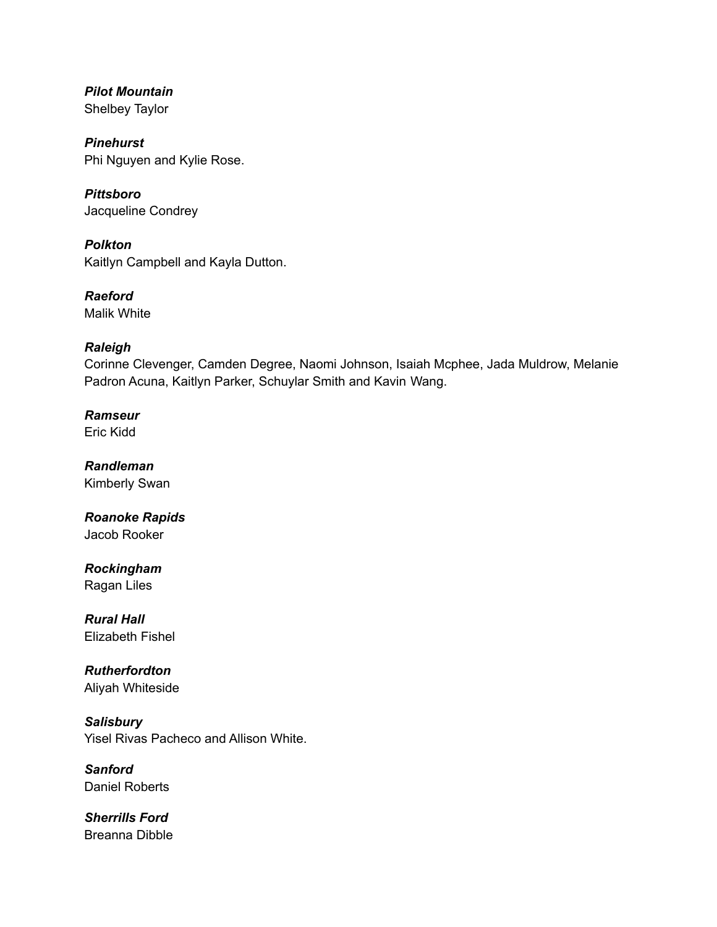*Pilot Mountain* Shelbey Taylor

*Pinehurst* Phi Nguyen and Kylie Rose.

*Pittsboro* Jacqueline Condrey

*Polkton* Kaitlyn Campbell and Kayla Dutton.

*Raeford* Malik White

# *Raleigh*

Corinne Clevenger, Camden Degree, Naomi Johnson, Isaiah Mcphee, Jada Muldrow, Melanie Padron Acuna, Kaitlyn Parker, Schuylar Smith and Kavin Wang.

*Ramseur* Eric Kidd

*Randleman* Kimberly Swan

*Roanoke Rapids* Jacob Rooker

*Rockingham* Ragan Liles

*Rural Hall* Elizabeth Fishel

*Rutherfordton* Aliyah Whiteside

*Salisbury* Yisel Rivas Pacheco and Allison White.

*Sanford* Daniel Roberts

*Sherrills Ford* Breanna Dibble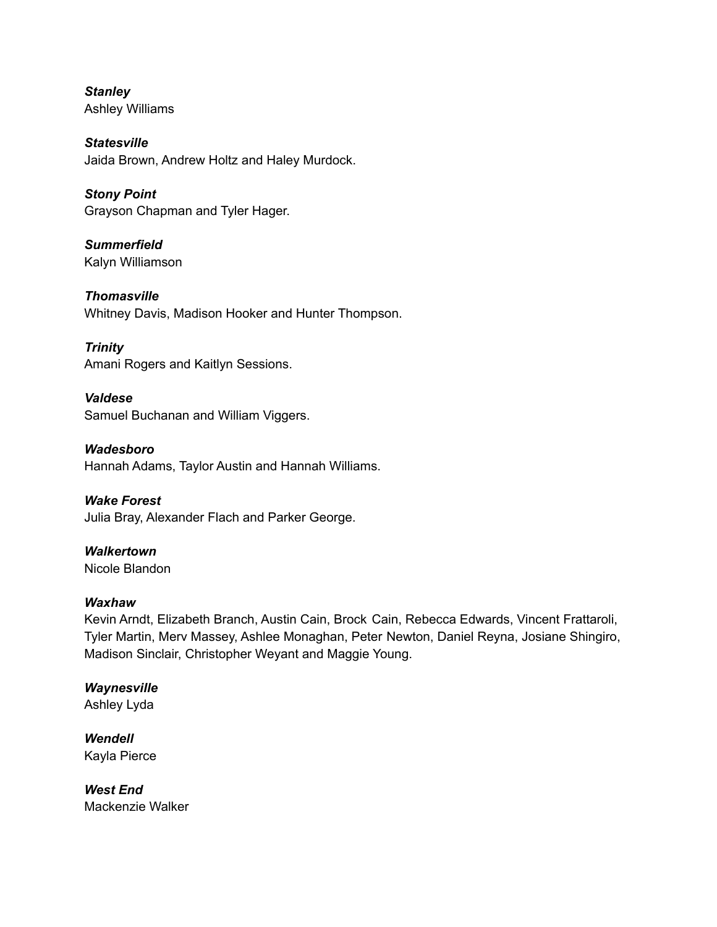*Stanley* Ashley Williams

*Statesville* Jaida Brown, Andrew Holtz and Haley Murdock.

*Stony Point* Grayson Chapman and Tyler Hager.

*Summerfield* Kalyn Williamson

*Thomasville* Whitney Davis, Madison Hooker and Hunter Thompson.

*Trinity* Amani Rogers and Kaitlyn Sessions.

*Valdese* Samuel Buchanan and William Viggers.

*Wadesboro* Hannah Adams, Taylor Austin and Hannah Williams.

*Wake Forest* Julia Bray, Alexander Flach and Parker George.

*Walkertown* Nicole Blandon

# *Waxhaw*

Kevin Arndt, Elizabeth Branch, Austin Cain, Brock Cain, Rebecca Edwards, Vincent Frattaroli, Tyler Martin, Merv Massey, Ashlee Monaghan, Peter Newton, Daniel Reyna, Josiane Shingiro, Madison Sinclair, Christopher Weyant and Maggie Young.

*Waynesville* Ashley Lyda

*Wendell* Kayla Pierce

*West End* Mackenzie Walker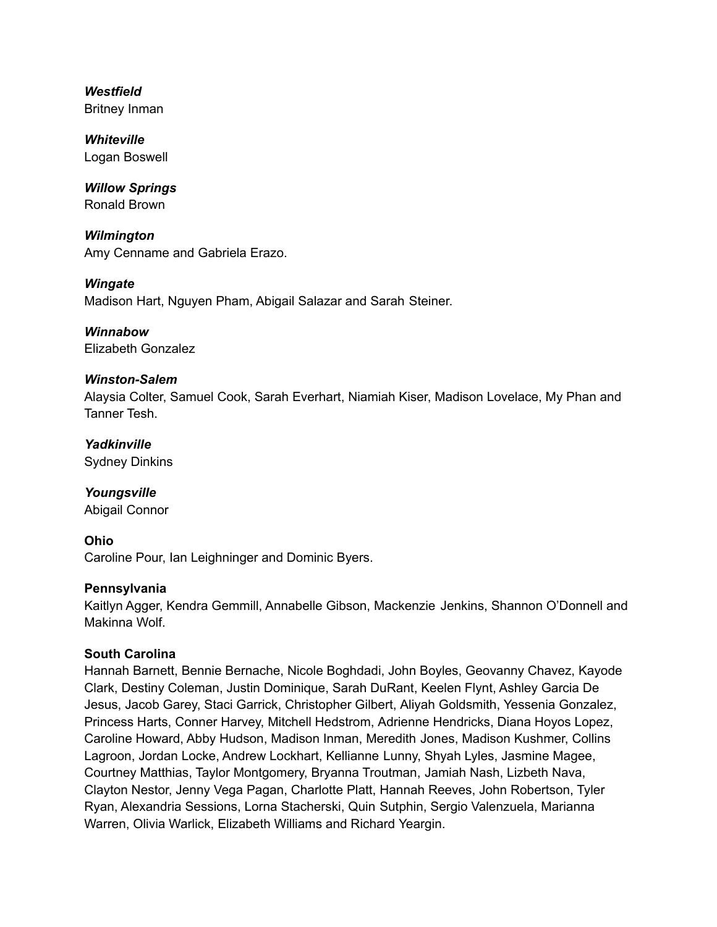*Westfield* Britney Inman

*Whiteville* Logan Boswell

*Willow Springs* Ronald Brown

*Wilmington* Amy Cenname and Gabriela Erazo.

*Wingate* Madison Hart, Nguyen Pham, Abigail Salazar and Sarah Steiner.

*Winnabow* Elizabeth Gonzalez

## *Winston-Salem*

Alaysia Colter, Samuel Cook, Sarah Everhart, Niamiah Kiser, Madison Lovelace, My Phan and Tanner Tesh.

*Yadkinville* Sydney Dinkins

*Youngsville* Abigail Connor

**Ohio**

Caroline Pour, Ian Leighninger and Dominic Byers.

## **Pennsylvania**

Kaitlyn Agger, Kendra Gemmill, Annabelle Gibson, Mackenzie Jenkins, Shannon O'Donnell and Makinna Wolf.

# **South Carolina**

Hannah Barnett, Bennie Bernache, Nicole Boghdadi, John Boyles, Geovanny Chavez, Kayode Clark, Destiny Coleman, Justin Dominique, Sarah DuRant, Keelen Flynt, Ashley Garcia De Jesus, Jacob Garey, Staci Garrick, Christopher Gilbert, Aliyah Goldsmith, Yessenia Gonzalez, Princess Harts, Conner Harvey, Mitchell Hedstrom, Adrienne Hendricks, Diana Hoyos Lopez, Caroline Howard, Abby Hudson, Madison Inman, Meredith Jones, Madison Kushmer, Collins Lagroon, Jordan Locke, Andrew Lockhart, Kellianne Lunny, Shyah Lyles, Jasmine Magee, Courtney Matthias, Taylor Montgomery, Bryanna Troutman, Jamiah Nash, Lizbeth Nava, Clayton Nestor, Jenny Vega Pagan, Charlotte Platt, Hannah Reeves, John Robertson, Tyler Ryan, Alexandria Sessions, Lorna Stacherski, Quin Sutphin, Sergio Valenzuela, Marianna Warren, Olivia Warlick, Elizabeth Williams and Richard Yeargin.